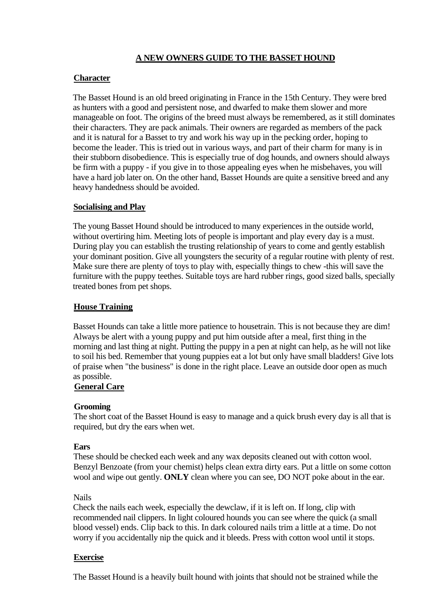# **A NEW OWNERS GUIDE TO THE BASSET HOUND**

# **Character**

The Basset Hound is an old breed originating in France in the 15th Century. They were bred as hunters with a good and persistent nose, and dwarfed to make them slower and more manageable on foot. The origins of the breed must always be remembered, as it still dominates their characters. They are pack animals. Their owners are regarded as members of the pack and it is natural for a Basset to try and work his way up in the pecking order, hoping to become the leader. This is tried out in various ways, and part of their charm for many is in their stubborn disobedience. This is especially true of dog hounds, and owners should always be firm with a puppy - if you give in to those appealing eyes when he misbehaves, you will have a hard job later on. On the other hand, Basset Hounds are quite a sensitive breed and any heavy handedness should be avoided.

# **Socialising and Play**

The young Basset Hound should be introduced to many experiences in the outside world, without overtiring him. Meeting lots of people is important and play every day is a must. During play you can establish the trusting relationship of years to come and gently establish your dominant position. Give all youngsters the security of a regular routine with plenty of rest. Make sure there are plenty of toys to play with, especially things to chew -this will save the furniture with the puppy teethes. Suitable toys are hard rubber rings, good sized balls, specially treated bones from pet shops.

# **House Training**

Basset Hounds can take a little more patience to housetrain. This is not because they are dim! Always be alert with a young puppy and put him outside after a meal, first thing in the morning and last thing at night. Putting the puppy in a pen at night can help, as he will not like to soil his bed. Remember that young puppies eat a lot but only have small bladders! Give lots of praise when "the business" is done in the right place. Leave an outside door open as much as possible.

# **General Care**

#### **Grooming**

The short coat of the Basset Hound is easy to manage and a quick brush every day is all that is required, but dry the ears when wet.

#### **Ears**

These should be checked each week and any wax deposits cleaned out with cotton wool. Benzyl Benzoate (from your chemist) helps clean extra dirty ears. Put a little on some cotton wool and wipe out gently. **ONLY** clean where you can see, DO NOT poke about in the ear.

#### Nails

Check the nails each week, especially the dewclaw, if it is left on. If long, clip with recommended nail clippers. In light coloured hounds you can see where the quick (a small blood vessel) ends. Clip back to this. In dark coloured nails trim a little at a time. Do not worry if you accidentally nip the quick and it bleeds. Press with cotton wool until it stops.

#### **Exercise**

The Basset Hound is a heavily built hound with joints that should not be strained while the